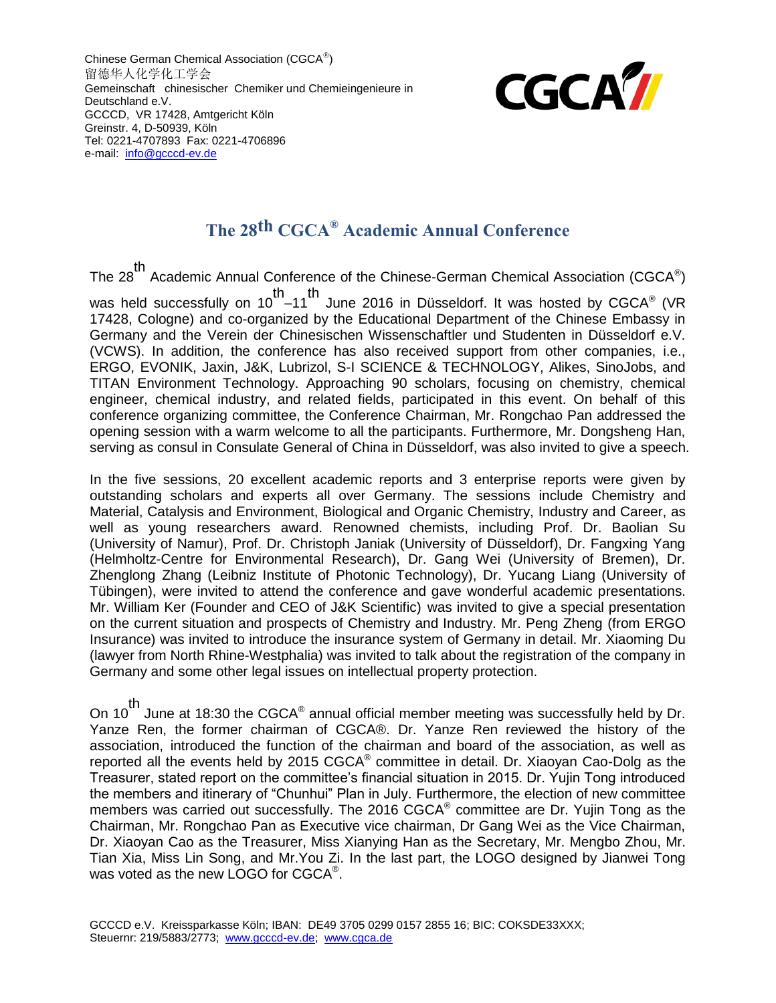Chinese German Chemical Association (CGCA<sup>®</sup>) 留德华人化学化工学会 Gemeinschaft chinesischer Chemiker und Chemieingenieure in Deutschland e.V. GCCCD, VR 17428, Amtgericht Köln Greinstr. 4, D-50939, Köln Tel: 0221-4707893 Fax: 0221-4706896 e-mail: [info@gcccd-ev.de](mailto:info@gcccd-ev.de)



## **The 28th CGCA® Academic Annual Conference**

The 28 th Academic Annual Conference of the Chinese-German Chemical Association (CGCA® ) was held successfully on 10 th ‒11 th June 2016 in Düsseldorf. It was hosted by CGCA® (VR 17428, Cologne) and co-organized by the Educational Department of the Chinese Embassy in Germany and the Verein der Chinesischen Wissenschaftler und Studenten in Düsseldorf e.V. (VCWS). In addition, the conference has also received support from other companies, i.e., ERGO, EVONIK, Jaxin, J&K, Lubrizol, S-I SCIENCE & TECHNOLOGY, Alikes, SinoJobs, and TITAN Environment Technology. Approaching 90 scholars, focusing on chemistry, chemical engineer, chemical industry, and related fields, participated in this event. On behalf of this conference organizing committee, the Conference Chairman, Mr. Rongchao Pan addressed the opening session with a warm welcome to all the participants. Furthermore, Mr. Dongsheng Han, serving as consul in Consulate General of China in Düsseldorf, was also invited to give a speech.

In the five sessions, 20 excellent academic reports and 3 enterprise reports were given by outstanding scholars and experts all over Germany. The sessions include Chemistry and Material, Catalysis and Environment, Biological and Organic Chemistry, Industry and Career, as well as young researchers award. Renowned chemists, including Prof. Dr. Baolian Su (University of Namur), Prof. Dr. Christoph Janiak (University of Düsseldorf), Dr. Fangxing Yang (Helmholtz-Centre for Environmental Research), Dr. Gang Wei (University of Bremen), Dr. Zhenglong Zhang (Leibniz Institute of Photonic Technology), Dr. Yucang Liang (University of Tübingen), were invited to attend the conference and gave wonderful academic presentations. Mr. William Ker (Founder and CEO of J&K Scientific) was invited to give a special presentation on the current situation and prospects of Chemistry and Industry. Mr. Peng Zheng (from ERGO Insurance) was invited to introduce the insurance system of Germany in detail. Mr. Xiaoming Du (lawyer from North Rhine-Westphalia) was invited to talk about the registration of the company in Germany and some other legal issues on intellectual property protection.

on 10<sup>th</sup> June at 18:30 the CGCA® annual official member meeting was successfully held by Dr. Yanze Ren, the former chairman of CGCA®. Dr. Yanze Ren reviewed the history of the association, introduced the function of the chairman and board of the association, as well as reported all the events held by 2015 CGCA® committee in detail. Dr. Xiaoyan Cao-Dolg as the Treasurer, stated report on the committee's financial situation in 2015. Dr. Yujin Tong introduced the members and itinerary of "Chunhui" Plan in July. Furthermore, the election of new committee members was carried out successfully. The 2016 CGCA<sup>®</sup> committee are Dr. Yujin Tong as the Chairman, Mr. Rongchao Pan as Executive vice chairman, Dr Gang Wei as the Vice Chairman, Dr. Xiaoyan Cao as the Treasurer, Miss Xianying Han as the Secretary, Mr. Mengbo Zhou, Mr. Tian Xia, Miss Lin Song, and Mr.You Zi. In the last part, the LOGO designed by Jianwei Tong was voted as the new LOGO for CGCA<sup>®</sup>.